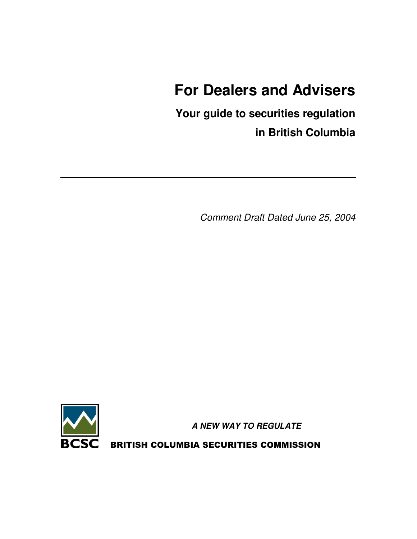# **For Dealers and Advisers**

**Your guide to securities regulation in British Columbia**

*Comment Draft Dated June 25, 2004*



*A NEW WAY TO REGULATE*

BRITISH COLUMBIA SECURITIES COMMISSION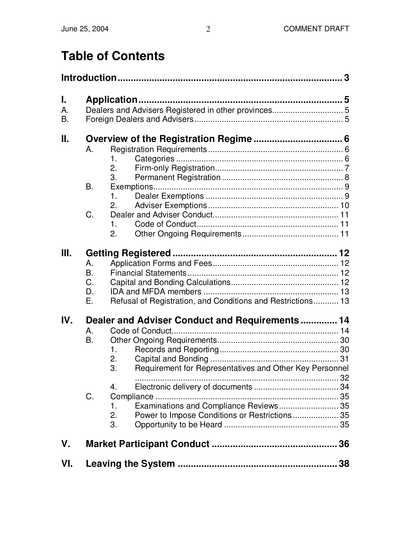# **Table of Contents**

| I.<br>Α.<br>Β. |                                   |                                                                                                                                                                                                 |  |
|----------------|-----------------------------------|-------------------------------------------------------------------------------------------------------------------------------------------------------------------------------------------------|--|
| ΙΙ.            | A.<br><b>B.</b><br>C.             | 1.<br>2.<br>3.<br>$\mathbf{1}$ .<br>2.<br>1.<br>2.                                                                                                                                              |  |
| Ш.             | A.<br><b>B.</b><br>C.<br>D.<br>Ε. | Refusal of Registration, and Conditions and Restrictions 13                                                                                                                                     |  |
| IV.            | Α.<br>B.<br>C.                    | Dealer and Adviser Conduct and Requirements 14<br>1.<br>2.<br>3.<br>Requirement for Representatives and Other Key Personnel<br>$\overline{4}$ .<br>Examinations and Compliance Reviews 35<br>1. |  |
| V.             |                                   | 2.<br>Power to Impose Conditions or Restrictions 35<br>3.                                                                                                                                       |  |
| VI.            |                                   |                                                                                                                                                                                                 |  |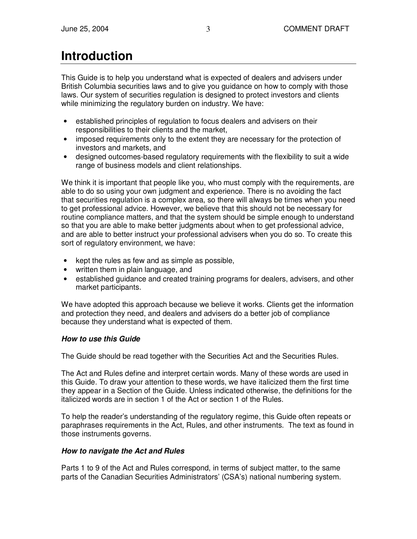# **Introduction**

This Guide is to help you understand what is expected of dealers and advisers under British Columbia securities laws and to give you guidance on how to comply with those laws. Our system of securities regulation is designed to protect investors and clients while minimizing the regulatory burden on industry. We have:

- established principles of regulation to focus dealers and advisers on their responsibilities to their clients and the market,
- imposed requirements only to the extent they are necessary for the protection of investors and markets, and
- designed outcomes-based regulatory requirements with the flexibility to suit a wide range of business models and client relationships.

We think it is important that people like you, who must comply with the requirements, are able to do so using your own judgment and experience. There is no avoiding the fact that securities regulation is a complex area, so there will always be times when you need to get professional advice. However, we believe that this should not be necessary for routine compliance matters, and that the system should be simple enough to understand so that you are able to make better judgments about when to get professional advice, and are able to better instruct your professional advisers when you do so. To create this sort of regulatory environment, we have:

- kept the rules as few and as simple as possible,
- written them in plain language, and
- established guidance and created training programs for dealers, advisers, and other market participants.

We have adopted this approach because we believe it works. Clients get the information and protection they need, and dealers and advisers do a better job of compliance because they understand what is expected of them.

## *How to use this Guide*

The Guide should be read together with the Securities Act and the Securities Rules.

The Act and Rules define and interpret certain words. Many of these words are used in this Guide. To draw your attention to these words, we have italicized them the first time they appear in a Section of the Guide. Unless indicated otherwise, the definitions for the italicized words are in section 1 of the Act or section 1 of the Rules.

To help the reader's understanding of the regulatory regime, this Guide often repeats or paraphrases requirements in the Act, Rules, and other instruments. The text as found in those instruments governs.

## *How to navigate the Act and Rules*

Parts 1 to 9 of the Act and Rules correspond, in terms of subject matter, to the same parts of the Canadian Securities Administrators' (CSA's) national numbering system.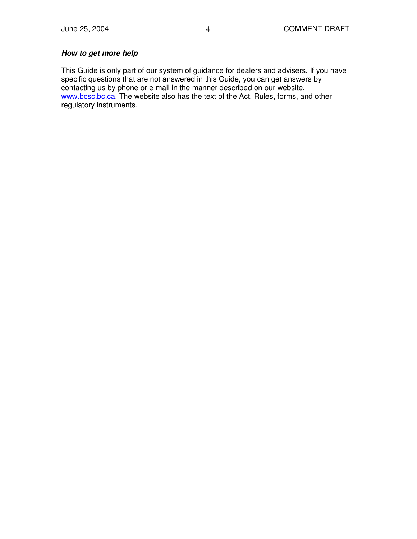## *How to get more help*

This Guide is only part of our system of guidance for dealers and advisers. If you have specific questions that are not answered in this Guide, you can get answers by contacting us by phone or e-mail in the manner described on our website, www.bcsc.bc.ca. The website also has the text of the Act, Rules, forms, and other regulatory instruments.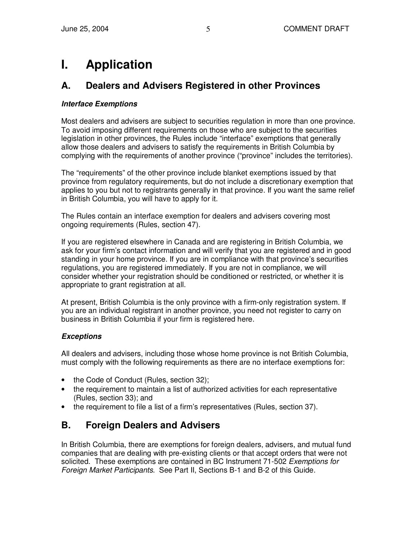# **I. Application**

# **A. Dealers and Advisers Registered in other Provinces**

### *Interface Exemptions*

Most dealers and advisers are subject to securities regulation in more than one province. To avoid imposing different requirements on those who are subject to the securities legislation in other provinces, the Rules include "interface" exemptions that generally allow those dealers and advisers to satisfy the requirements in British Columbia by complying with the requirements of another province ("province" includes the territories).

The "requirements" of the other province include blanket exemptions issued by that province from regulatory requirements, but do not include a discretionary exemption that applies to you but not to registrants generally in that province. If you want the same relief in British Columbia, you will have to apply for it.

The Rules contain an interface exemption for dealers and advisers covering most ongoing requirements (Rules, section 47).

If you are registered elsewhere in Canada and are registering in British Columbia, we ask for your firm's contact information and will verify that you are registered and in good standing in your home province. If you are in compliance with that province's securities regulations, you are registered immediately. If you are not in compliance, we will consider whether your registration should be conditioned or restricted, or whether it is appropriate to grant registration at all.

At present, British Columbia is the only province with a firm-only registration system. If you are an individual registrant in another province, you need not register to carry on business in British Columbia if your firm is registered here.

## *Exceptions*

All dealers and advisers, including those whose home province is not British Columbia, must comply with the following requirements as there are no interface exemptions for:

- the Code of Conduct (Rules, section 32);
- the requirement to maintain a list of authorized activities for each representative (Rules, section 33); and
- the requirement to file a list of a firm's representatives (Rules, section 37).

## **B. Foreign Dealers and Advisers**

In British Columbia, there are exemptions for foreign dealers, advisers, and mutual fund companies that are dealing with pre-existing clients or that accept orders that were not solicited. These exemptions are contained in BC Instrument 71-502 *Exemptions for Foreign Market Participants*. See Part II, Sections B-1 and B-2 of this Guide.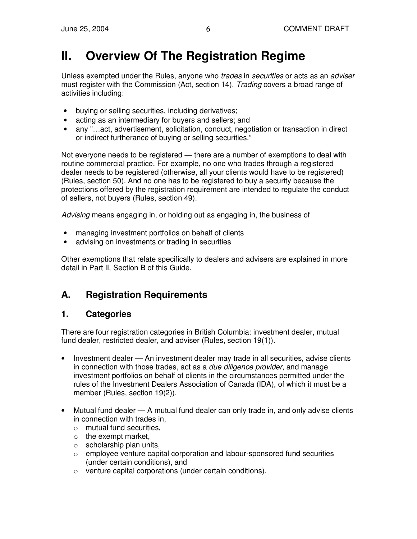# **II. Overview Of The Registration Regime**

Unless exempted under the Rules, anyone who *trades* in *securities* or acts as an *adviser* must register with the Commission (Act, section 14). *Trading* covers a broad range of activities including:

- buying or selling securities, including derivatives;
- acting as an intermediary for buyers and sellers; and
- any "...act, advertisement, solicitation, conduct, negotiation or transaction in direct or indirect furtherance of buying or selling securities."

Not everyone needs to be registered — there are a number of exemptions to deal with routine commercial practice. For example, no one who trades through a registered dealer needs to be registered (otherwise, all your clients would have to be registered) (Rules, section 50). And no one has to be registered to buy a security because the protections offered by the registration requirement are intended to regulate the conduct of sellers, not buyers (Rules, section 49).

*Advising* means engaging in, or holding out as engaging in, the business of

- managing investment portfolios on behalf of clients
- advising on investments or trading in securities

Other exemptions that relate specifically to dealers and advisers are explained in more detail in Part II, Section B of this Guide.

# **A. Registration Requirements**

# **1. Categories**

There are four registration categories in British Columbia: investment dealer, mutual fund dealer, restricted dealer, and adviser (Rules, section 19(1)).

- Investment dealer An investment dealer may trade in all securities, advise clients in connection with those trades, act as a *due diligence provider*, and manage investment portfolios on behalf of clients in the circumstances permitted under the rules of the Investment Dealers Association of Canada (IDA), of which it must be a member (Rules, section 19(2)).
- Mutual fund dealer A mutual fund dealer can only trade in, and only advise clients in connection with trades in,
	- o mutual fund securities,
	- $\circ$  the exempt market.
	- $\circ$  scholarship plan units,
	- $\circ$  employee venture capital corporation and labour-sponsored fund securities (under certain conditions), and
	- o venture capital corporations (under certain conditions).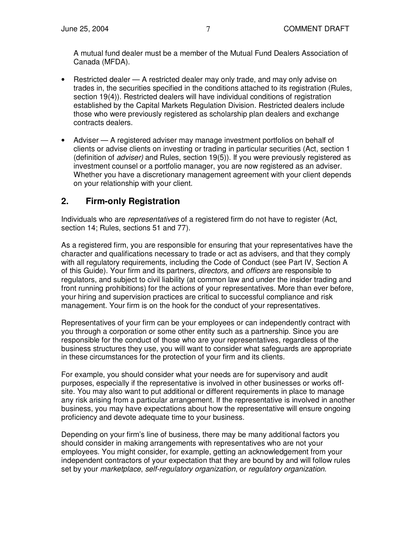A mutual fund dealer must be a member of the Mutual Fund Dealers Association of Canada (MFDA).

- Restricted dealer A restricted dealer may only trade, and may only advise on trades in, the securities specified in the conditions attached to its registration (Rules, section 19(4)). Restricted dealers will have individual conditions of registration established by the Capital Markets Regulation Division. Restricted dealers include those who were previously registered as scholarship plan dealers and exchange contracts dealers.
- Adviser A registered adviser may manage investment portfolios on behalf of clients or advise clients on investing or trading in particular securities (Act, section 1 (definition of *adviser)* and Rules, section 19(5)). If you were previously registered as investment counsel or a portfolio manager, you are now registered as an adviser. Whether you have a discretionary management agreement with your client depends on your relationship with your client.

# **2. Firm-only Registration**

Individuals who are *representatives* of a registered firm do not have to register (Act, section 14; Rules, sections 51 and 77).

As a registered firm, you are responsible for ensuring that your representatives have the character and qualifications necessary to trade or act as advisers, and that they comply with all regulatory requirements, including the Code of Conduct (see Part IV, Section A of this Guide). Your firm and its partners, *directors,* and *officers* are responsible to regulators, and subject to civil liability (at common law and under the insider trading and front running prohibitions) for the actions of your representatives. More than ever before, your hiring and supervision practices are critical to successful compliance and risk management. Your firm is on the hook for the conduct of your representatives.

Representatives of your firm can be your employees or can independently contract with you through a corporation or some other entity such as a partnership. Since you are responsible for the conduct of those who are your representatives, regardless of the business structures they use, you will want to consider what safeguards are appropriate in these circumstances for the protection of your firm and its clients.

For example, you should consider what your needs are for supervisory and audit purposes, especially if the representative is involved in other businesses or works offsite. You may also want to put additional or different requirements in place to manage any risk arising from a particular arrangement. If the representative is involved in another business, you may have expectations about how the representative will ensure ongoing proficiency and devote adequate time to your business.

Depending on your firm's line of business, there may be many additional factors you should consider in making arrangements with representatives who are not your employees. You might consider, for example, getting an acknowledgement from your independent contractors of your expectation that they are bound by and will follow rules set by your *marketplace*, *self-regulatory organization*, or *regulatory organization*.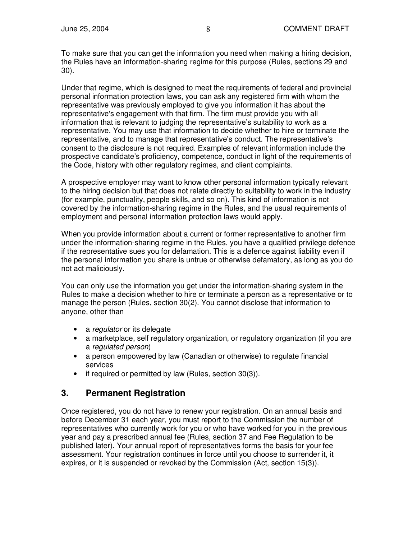To make sure that you can get the information you need when making a hiring decision, the Rules have an information-sharing regime for this purpose (Rules, sections 29 and 30).

Under that regime, which is designed to meet the requirements of federal and provincial personal information protection laws, you can ask any registered firm with whom the representative was previously employed to give you information it has about the representative's engagement with that firm. The firm must provide you with all information that is relevant to judging the representative's suitability to work as a representative. You may use that information to decide whether to hire or terminate the representative, and to manage that representative's conduct. The representative's consent to the disclosure is not required. Examples of relevant information include the prospective candidate's proficiency, competence, conduct in light of the requirements of the Code, history with other regulatory regimes, and client complaints.

A prospective employer may want to know other personal information typically relevant to the hiring decision but that does not relate directly to suitability to work in the industry (for example, punctuality, people skills, and so on). This kind of information is not covered by the information-sharing regime in the Rules, and the usual requirements of employment and personal information protection laws would apply.

When you provide information about a current or former representative to another firm under the information-sharing regime in the Rules, you have a qualified privilege defence if the representative sues you for defamation. This is a defence against liability even if the personal information you share is untrue or otherwise defamatory, as long as you do not act maliciously.

You can only use the information you get under the information-sharing system in the Rules to make a decision whether to hire or terminate a person as a representative or to manage the person (Rules, section 30(2). You cannot disclose that information to anyone, other than

- a *regulator* or its delegate
- a marketplace, self regulatory organization, or regulatory organization (if you are a *regulated person*)
- a person empowered by law (Canadian or otherwise) to regulate financial services
- if required or permitted by law (Rules, section 30(3)).

## **3. Permanent Registration**

Once registered, you do not have to renew your registration. On an annual basis and before December 31 each year, you must report to the Commission the number of representatives who currently work for you or who have worked for you in the previous year and pay a prescribed annual fee (Rules, section 37 and Fee Regulation to be published later). Your annual report of representatives forms the basis for your fee assessment. Your registration continues in force until you choose to surrender it, it expires, or it is suspended or revoked by the Commission (Act, section 15(3)).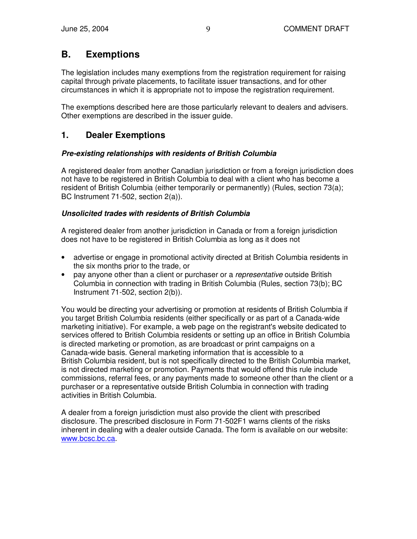## **B. Exemptions**

The legislation includes many exemptions from the registration requirement for raising capital through private placements, to facilitate issuer transactions, and for other circumstances in which it is appropriate not to impose the registration requirement.

The exemptions described here are those particularly relevant to dealers and advisers. Other exemptions are described in the issuer guide.

## **1. Dealer Exemptions**

## *Pre-existing relationships with residents of British Columbia*

A registered dealer from another Canadian jurisdiction or from a foreign jurisdiction does not have to be registered in British Columbia to deal with a client who has become a resident of British Columbia (either temporarily or permanently) (Rules, section 73(a); BC Instrument 71-502, section 2(a)).

## *Unsolicited trades with residents of British Columbia*

A registered dealer from another jurisdiction in Canada or from a foreign jurisdiction does not have to be registered in British Columbia as long as it does not

- advertise or engage in promotional activity directed at British Columbia residents in the six months prior to the trade, or
- pay anyone other than a client or purchaser or a *representative* outside British Columbia in connection with trading in British Columbia (Rules, section 73(b); BC Instrument 71-502, section 2(b)).

You would be directing your advertising or promotion at residents of British Columbia if you target British Columbia residents (either specifically or as part of a Canada-wide marketing initiative). For example, a web page on the registrant's website dedicated to services offered to British Columbia residents or setting up an office in British Columbia is directed marketing or promotion, as are broadcast or print campaigns on a Canada-wide basis. General marketing information that is accessible to a British Columbia resident, but is not specifically directed to the British Columbia market, is not directed marketing or promotion. Payments that would offend this rule include commissions, referral fees, or any payments made to someone other than the client or a purchaser or a representative outside British Columbia in connection with trading activities in British Columbia.

A dealer from a foreign jurisdiction must also provide the client with prescribed disclosure. The prescribed disclosure in Form 71-502F1 warns clients of the risks inherent in dealing with a dealer outside Canada. The form is available on our website: www.bcsc.bc.ca.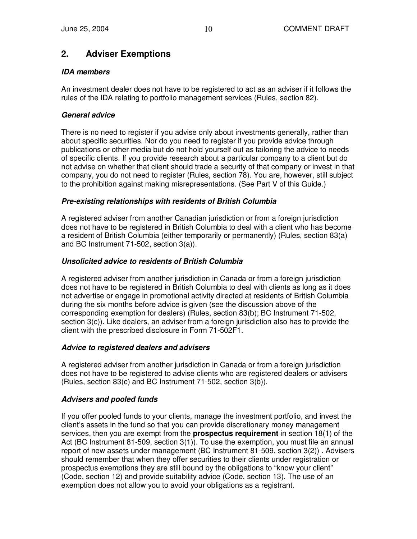## **2. Adviser Exemptions**

## *IDA members*

An investment dealer does not have to be registered to act as an adviser if it follows the rules of the IDA relating to portfolio management services (Rules, section 82).

## *General advice*

There is no need to register if you advise only about investments generally, rather than about specific securities. Nor do you need to register if you provide advice through publications or other media but do not hold yourself out as tailoring the advice to needs of specific clients. If you provide research about a particular company to a client but do not advise on whether that client should trade a security of that company or invest in that company, you do not need to register (Rules, section 78). You are, however, still subject to the prohibition against making misrepresentations. (See Part V of this Guide.)

## *Pre-existing relationships with residents of British Columbia*

A registered adviser from another Canadian jurisdiction or from a foreign jurisdiction does not have to be registered in British Columbia to deal with a client who has become a resident of British Columbia (either temporarily or permanently) (Rules, section 83(a) and BC Instrument 71-502, section 3(a)).

## *Unsolicited advice to residents of British Columbia*

A registered adviser from another jurisdiction in Canada or from a foreign jurisdiction does not have to be registered in British Columbia to deal with clients as long as it does not advertise or engage in promotional activity directed at residents of British Columbia during the six months before advice is given (see the discussion above of the corresponding exemption for dealers) (Rules, section 83(b); BC Instrument 71-502, section 3(c)). Like dealers, an adviser from a foreign jurisdiction also has to provide the client with the prescribed disclosure in Form 71-502F1.

## *Advice to registered dealers and advisers*

A registered adviser from another jurisdiction in Canada or from a foreign jurisdiction does not have to be registered to advise clients who are registered dealers or advisers (Rules, section 83(c) and BC Instrument 71-502, section 3(b)).

## *Advisers and pooled funds*

If you offer pooled funds to your clients, manage the investment portfolio, and invest the client's assets in the fund so that you can provide discretionary money management services, then you are exempt from the **prospectus requirement** in section 18(1) of the Act (BC Instrument 81-509, section 3(1)). To use the exemption, you must file an annual report of new assets under management (BC Instrument 81-509, section 3(2)) . Advisers should remember that when they offer securities to their clients under registration or prospectus exemptions they are still bound by the obligations to "know your client" (Code, section 12) and provide suitability advice (Code, section 13). The use of an exemption does not allow you to avoid your obligations as a registrant.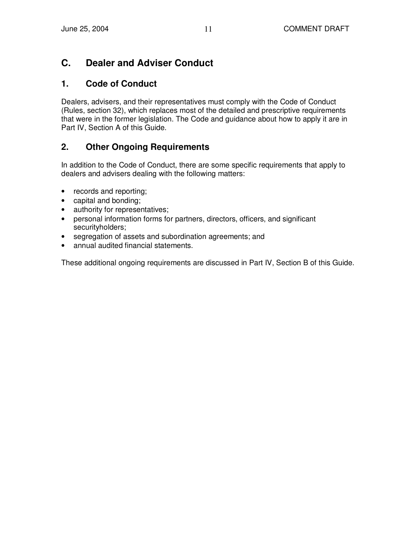## **C. Dealer and Adviser Conduct**

## **1. Code of Conduct**

Dealers, advisers, and their representatives must comply with the Code of Conduct (Rules, section 32), which replaces most of the detailed and prescriptive requirements that were in the former legislation. The Code and guidance about how to apply it are in Part IV, Section A of this Guide.

## **2. Other Ongoing Requirements**

In addition to the Code of Conduct, there are some specific requirements that apply to dealers and advisers dealing with the following matters:

- records and reporting;
- capital and bonding;
- authority for representatives;
- personal information forms for partners, directors, officers, and significant securityholders;
- segregation of assets and subordination agreements; and
- annual audited financial statements.

These additional ongoing requirements are discussed in Part IV, Section B of this Guide.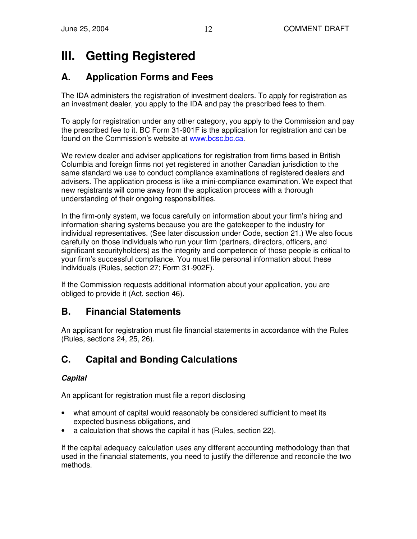# **III. Getting Registered**

# **A. Application Forms and Fees**

The IDA administers the registration of investment dealers. To apply for registration as an investment dealer, you apply to the IDA and pay the prescribed fees to them.

To apply for registration under any other category, you apply to the Commission and pay the prescribed fee to it. BC Form 31-901F is the application for registration and can be found on the Commission's website at www.bcsc.bc.ca.

We review dealer and adviser applications for registration from firms based in British Columbia and foreign firms not yet registered in another Canadian jurisdiction to the same standard we use to conduct compliance examinations of registered dealers and advisers. The application process is like a mini-compliance examination. We expect that new registrants will come away from the application process with a thorough understanding of their ongoing responsibilities.

In the firm-only system, we focus carefully on information about your firm's hiring and information-sharing systems because you are the gatekeeper to the industry for individual representatives. (See later discussion under Code, section 21.) We also focus carefully on those individuals who run your firm (partners, directors, officers, and significant securityholders) as the integrity and competence of those people is critical to your firm's successful compliance. You must file personal information about these individuals (Rules, section 27; Form 31-902F).

If the Commission requests additional information about your application, you are obliged to provide it (Act, section 46).

## **B. Financial Statements**

An applicant for registration must file financial statements in accordance with the Rules (Rules, sections 24, 25, 26).

# **C. Capital and Bonding Calculations**

## *Capital*

An applicant for registration must file a report disclosing

- what amount of capital would reasonably be considered sufficient to meet its expected business obligations, and
- a calculation that shows the capital it has (Rules, section 22).

If the capital adequacy calculation uses any different accounting methodology than that used in the financial statements, you need to justify the difference and reconcile the two methods.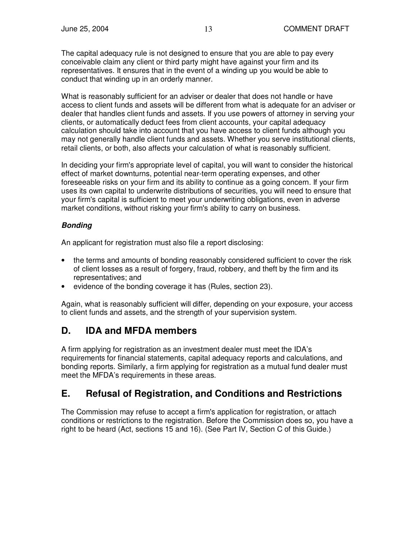The capital adequacy rule is not designed to ensure that you are able to pay every conceivable claim any client or third party might have against your firm and its representatives. It ensures that in the event of a winding up you would be able to conduct that winding up in an orderly manner.

What is reasonably sufficient for an adviser or dealer that does not handle or have access to client funds and assets will be different from what is adequate for an adviser or dealer that handles client funds and assets. If you use powers of attorney in serving your clients, or automatically deduct fees from client accounts, your capital adequacy calculation should take into account that you have access to client funds although you may not generally handle client funds and assets. Whether you serve institutional clients, retail clients, or both, also affects your calculation of what is reasonably sufficient.

In deciding your firm's appropriate level of capital, you will want to consider the historical effect of market downturns, potential near-term operating expenses, and other foreseeable risks on your firm and its ability to continue as a going concern. If your firm uses its own capital to underwrite distributions of securities, you will need to ensure that your firm's capital is sufficient to meet your underwriting obligations, even in adverse market conditions, without risking your firm's ability to carry on business.

## *Bonding*

An applicant for registration must also file a report disclosing:

- the terms and amounts of bonding reasonably considered sufficient to cover the risk of client losses as a result of forgery, fraud, robbery, and theft by the firm and its representatives; and
- evidence of the bonding coverage it has (Rules, section 23).

Again, what is reasonably sufficient will differ, depending on your exposure, your access to client funds and assets, and the strength of your supervision system.

## **D. IDA and MFDA members**

A firm applying for registration as an investment dealer must meet the IDA's requirements for financial statements, capital adequacy reports and calculations, and bonding reports. Similarly, a firm applying for registration as a mutual fund dealer must meet the MFDA's requirements in these areas.

## **E. Refusal of Registration, and Conditions and Restrictions**

The Commission may refuse to accept a firm's application for registration, or attach conditions or restrictions to the registration. Before the Commission does so, you have a right to be heard (Act, sections 15 and 16). (See Part IV, Section C of this Guide.)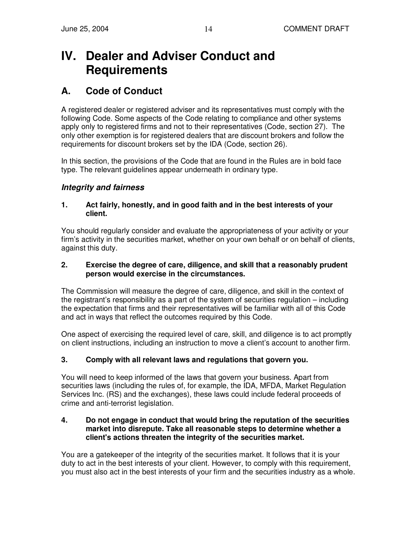# **IV. Dealer and Adviser Conduct and Requirements**

## **A. Code of Conduct**

A registered dealer or registered adviser and its representatives must comply with the following Code. Some aspects of the Code relating to compliance and other systems apply only to registered firms and not to their representatives (Code, section 27). The only other exemption is for registered dealers that are discount brokers and follow the requirements for discount brokers set by the IDA (Code, section 26).

In this section, the provisions of the Code that are found in the Rules are in bold face type. The relevant guidelines appear underneath in ordinary type.

## *Integrity and fairness*

#### **1. Act fairly, honestly, and in good faith and in the best interests of your client.**

You should regularly consider and evaluate the appropriateness of your activity or your firm's activity in the securities market, whether on your own behalf or on behalf of clients, against this duty.

#### **2. Exercise the degree of care, diligence, and skill that a reasonably prudent person would exercise in the circumstances.**

The Commission will measure the degree of care, diligence, and skill in the context of the registrant's responsibility as a part of the system of securities regulation – including the expectation that firms and their representatives will be familiar with all of this Code and act in ways that reflect the outcomes required by this Code.

One aspect of exercising the required level of care, skill, and diligence is to act promptly on client instructions, including an instruction to move a client's account to another firm.

## **3. Comply with all relevant laws and regulations that govern you.**

You will need to keep informed of the laws that govern your business. Apart from securities laws (including the rules of, for example, the IDA, MFDA, Market Regulation Services Inc. (RS) and the exchanges), these laws could include federal proceeds of crime and anti-terrorist legislation.

#### **4. Do not engage in conduct that would bring the reputation of the securities market into disrepute. Take all reasonable steps to determine whether a client's actions threaten the integrity of the securities market.**

You are a gatekeeper of the integrity of the securities market. It follows that it is your duty to act in the best interests of your client. However, to comply with this requirement, you must also act in the best interests of your firm and the securities industry as a whole.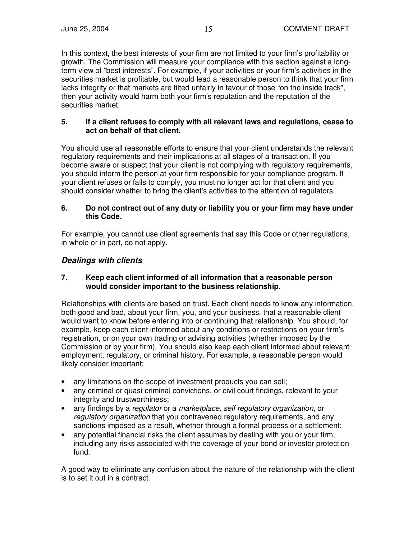In this context, the best interests of your firm are not limited to your firm's profitability or growth. The Commission will measure your compliance with this section against a longterm view of "best interests". For example, if your activities or your firm's activities in the securities market is profitable, but would lead a reasonable person to think that your firm lacks integrity or that markets are tilted unfairly in favour of those "on the inside track", then your activity would harm both your firm's reputation and the reputation of the securities market.

### **5. If a client refuses to comply with all relevant laws and regulations, cease to act on behalf of that client.**

You should use all reasonable efforts to ensure that your client understands the relevant regulatory requirements and their implications at all stages of a transaction. If you become aware or suspect that your client is not complying with regulatory requirements, you should inform the person at your firm responsible for your compliance program. If your client refuses or fails to comply, you must no longer act for that client and you should consider whether to bring the client's activities to the attention of regulators.

#### **6. Do not contract out of any duty or liability you or your firm may have under this Code.**

For example, you cannot use client agreements that say this Code or other regulations, in whole or in part, do not apply.

## *Dealings with clients*

### **7. Keep each client informed of all information that a reasonable person would consider important to the business relationship.**

Relationships with clients are based on trust. Each client needs to know any information, both good and bad, about your firm, you, and your business, that a reasonable client would want to know before entering into or continuing that relationship. You should, for example, keep each client informed about any conditions or restrictions on your firm's registration, or on your own trading or advising activities (whether imposed by the Commission or by your firm). You should also keep each client informed about relevant employment, regulatory, or criminal history. For example, a reasonable person would likely consider important:

- any limitations on the scope of investment products you can sell;
- any criminal or quasi-criminal convictions, or civil court findings, relevant to your integrity and trustworthiness;
- any findings by a *regulator* or a *marketplace, self regulatory organization*, or *regulatory organization* that you contravened regulatory requirements, and any sanctions imposed as a result, whether through a formal process or a settlement;
- any potential financial risks the client assumes by dealing with you or your firm, including any risks associated with the coverage of your bond or investor protection fund.

A good way to eliminate any confusion about the nature of the relationship with the client is to set it out in a contract.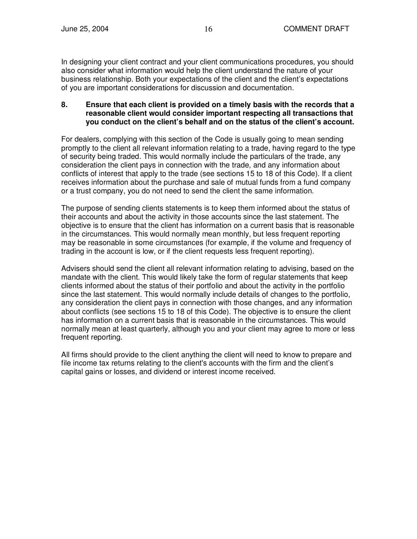In designing your client contract and your client communications procedures, you should also consider what information would help the client understand the nature of your business relationship. Both your expectations of the client and the client's expectations of you are important considerations for discussion and documentation.

### **8. Ensure that each client is provided on a timely basis with the records that a reasonable client would consider important respecting all transactions that you conduct on the client's behalf and on the status of the client's account.**

For dealers, complying with this section of the Code is usually going to mean sending promptly to the client all relevant information relating to a trade, having regard to the type of security being traded. This would normally include the particulars of the trade, any consideration the client pays in connection with the trade, and any information about conflicts of interest that apply to the trade (see sections 15 to 18 of this Code). If a client receives information about the purchase and sale of mutual funds from a fund company or a trust company, you do not need to send the client the same information.

The purpose of sending clients statements is to keep them informed about the status of their accounts and about the activity in those accounts since the last statement. The objective is to ensure that the client has information on a current basis that is reasonable in the circumstances. This would normally mean monthly, but less frequent reporting may be reasonable in some circumstances (for example, if the volume and frequency of trading in the account is low, or if the client requests less frequent reporting).

Advisers should send the client all relevant information relating to advising, based on the mandate with the client. This would likely take the form of regular statements that keep clients informed about the status of their portfolio and about the activity in the portfolio since the last statement. This would normally include details of changes to the portfolio, any consideration the client pays in connection with those changes, and any information about conflicts (see sections 15 to 18 of this Code). The objective is to ensure the client has information on a current basis that is reasonable in the circumstances. This would normally mean at least quarterly, although you and your client may agree to more or less frequent reporting.

All firms should provide to the client anything the client will need to know to prepare and file income tax returns relating to the client's accounts with the firm and the client's capital gains or losses, and dividend or interest income received.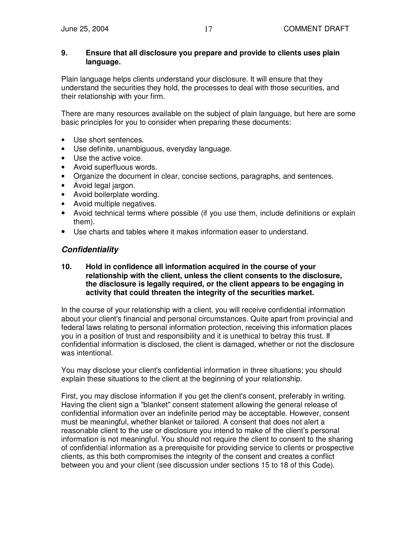#### **9. Ensure that all disclosure you prepare and provide to clients uses plain language.**

Plain language helps clients understand your disclosure. It will ensure that they understand the securities they hold, the processes to deal with those securities, and their relationship with your firm.

There are many resources available on the subject of plain language, but here are some basic principles for you to consider when preparing these documents:

- Use short sentences.
- Use definite, unambiguous, everyday language.
- Use the active voice.
- Avoid superfluous words.
- Organize the document in clear, concise sections, paragraphs, and sentences.
- Avoid legal jargon.
- Avoid boilerplate wording.
- Avoid multiple negatives.
- Avoid technical terms where possible (if you use them, include definitions or explain them).
- Use charts and tables where it makes information easer to understand.

## *Confidentiality*

#### **10. Hold in confidence all information acquired in the course of your relationship with the client, unless the client consents to the disclosure, the disclosure is legally required, or the client appears to be engaging in activity that could threaten the integrity of the securities market.**

In the course of your relationship with a client, you will receive confidential information about your client's financial and personal circumstances. Quite apart from provincial and federal laws relating to personal information protection, receiving this information places you in a position of trust and responsibility and it is unethical to betray this trust. If confidential information is disclosed, the client is damaged, whether or not the disclosure was intentional.

You may disclose your client's confidential information in three situations; you should explain these situations to the client at the beginning of your relationship.

First, you may disclose information if you get the client's consent, preferably in writing. Having the client sign a "blanket" consent statement allowing the general release of confidential information over an indefinite period may be acceptable. However, consent must be meaningful, whether blanket or tailored. A consent that does not alert a reasonable client to the use or disclosure you intend to make of the client's personal information is not meaningful. You should not require the client to consent to the sharing of confidential information as a prerequisite for providing service to clients or prospective clients, as this both compromises the integrity of the consent and creates a conflict between you and your client (see discussion under sections 15 to 18 of this Code).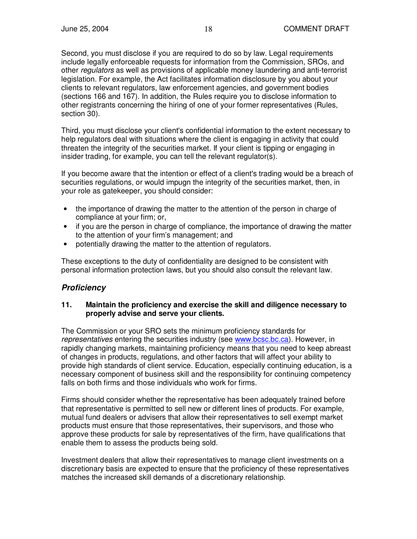Second, you must disclose if you are required to do so by law. Legal requirements include legally enforceable requests for information from the Commission, SROs, and other *regulators* as well as provisions of applicable money laundering and anti-terrorist legislation. For example, the Act facilitates information disclosure by you about your clients to relevant regulators, law enforcement agencies, and government bodies (sections 166 and 167). In addition, the Rules require you to disclose information to other registrants concerning the hiring of one of your former representatives (Rules, section 30).

Third, you must disclose your client's confidential information to the extent necessary to help regulators deal with situations where the client is engaging in activity that could threaten the integrity of the securities market. If your client is tipping or engaging in insider trading, for example, you can tell the relevant regulator(s).

If you become aware that the intention or effect of a client's trading would be a breach of securities regulations, or would impugn the integrity of the securities market, then, in your role as gatekeeper, you should consider:

- the importance of drawing the matter to the attention of the person in charge of compliance at your firm; or,
- if you are the person in charge of compliance, the importance of drawing the matter to the attention of your firm's management; and
- potentially drawing the matter to the attention of regulators.

These exceptions to the duty of confidentiality are designed to be consistent with personal information protection laws, but you should also consult the relevant law.

## *Proficiency*

#### **11. Maintain the proficiency and exercise the skill and diligence necessary to properly advise and serve your clients.**

The Commission or your SRO sets the minimum proficiency standards for *representatives* entering the securities industry (see www.bcsc.bc.ca). However, in rapidly changing markets, maintaining proficiency means that you need to keep abreast of changes in products, regulations, and other factors that will affect your ability to provide high standards of client service. Education, especially continuing education, is a necessary component of business skill and the responsibility for continuing competency falls on both firms and those individuals who work for firms.

Firms should consider whether the representative has been adequately trained before that representative is permitted to sell new or different lines of products. For example, mutual fund dealers or advisers that allow their representatives to sell exempt market products must ensure that those representatives, their supervisors, and those who approve these products for sale by representatives of the firm, have qualifications that enable them to assess the products being sold.

Investment dealers that allow their representatives to manage client investments on a discretionary basis are expected to ensure that the proficiency of these representatives matches the increased skill demands of a discretionary relationship.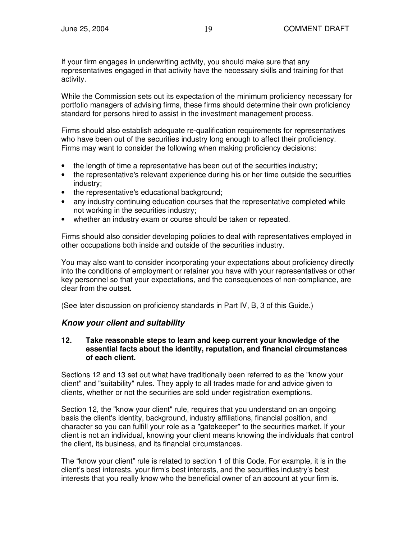If your firm engages in underwriting activity, you should make sure that any representatives engaged in that activity have the necessary skills and training for that activity.

While the Commission sets out its expectation of the minimum proficiency necessary for portfolio managers of advising firms, these firms should determine their own proficiency standard for persons hired to assist in the investment management process.

Firms should also establish adequate re-qualification requirements for representatives who have been out of the securities industry long enough to affect their proficiency. Firms may want to consider the following when making proficiency decisions:

- the length of time a representative has been out of the securities industry;
- the representative's relevant experience during his or her time outside the securities industry;
- the representative's educational background;
- any industry continuing education courses that the representative completed while not working in the securities industry;
- whether an industry exam or course should be taken or repeated.

Firms should also consider developing policies to deal with representatives employed in other occupations both inside and outside of the securities industry.

You may also want to consider incorporating your expectations about proficiency directly into the conditions of employment or retainer you have with your representatives or other key personnel so that your expectations, and the consequences of non-compliance, are clear from the outset.

(See later discussion on proficiency standards in Part IV, B, 3 of this Guide.)

## *Know your client and suitability*

### **12. Take reasonable steps to learn and keep current your knowledge of the essential facts about the identity, reputation, and financial circumstances of each client.**

Sections 12 and 13 set out what have traditionally been referred to as the "know your client" and "suitability" rules. They apply to all trades made for and advice given to clients, whether or not the securities are sold under registration exemptions.

Section 12, the "know your client" rule, requires that you understand on an ongoing basis the client's identity, background, industry affiliations, financial position, and character so you can fulfill your role as a "gatekeeper" to the securities market. If your client is not an individual, knowing your client means knowing the individuals that control the client, its business, and its financial circumstances.

The "know your client" rule is related to section 1 of this Code. For example, it is in the client's best interests, your firm's best interests, and the securities industry's best interests that you really know who the beneficial owner of an account at your firm is.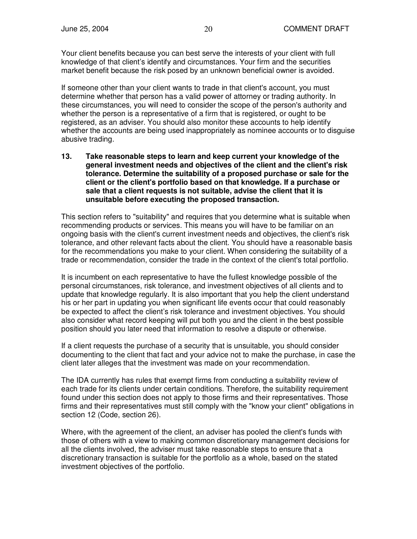Your client benefits because you can best serve the interests of your client with full knowledge of that client's identify and circumstances. Your firm and the securities market benefit because the risk posed by an unknown beneficial owner is avoided.

If someone other than your client wants to trade in that client's account, you must determine whether that person has a valid power of attorney or trading authority. In these circumstances, you will need to consider the scope of the person's authority and whether the person is a representative of a firm that is registered, or ought to be registered, as an adviser. You should also monitor these accounts to help identify whether the accounts are being used inappropriately as nominee accounts or to disguise abusive trading.

**13. Take reasonable steps to learn and keep current your knowledge of the general investment needs and objectives of the client and the client's risk tolerance. Determine the suitability of a proposed purchase or sale for the client or the client's portfolio based on that knowledge. If a purchase or sale that a client requests is not suitable, advise the client that it is unsuitable before executing the proposed transaction.**

This section refers to "suitability" and requires that you determine what is suitable when recommending products or services. This means you will have to be familiar on an ongoing basis with the client's current investment needs and objectives, the client's risk tolerance, and other relevant facts about the client. You should have a reasonable basis for the recommendations you make to your client. When considering the suitability of a trade or recommendation, consider the trade in the context of the client's total portfolio.

It is incumbent on each representative to have the fullest knowledge possible of the personal circumstances, risk tolerance, and investment objectives of all clients and to update that knowledge regularly. It is also important that you help the client understand his or her part in updating you when significant life events occur that could reasonably be expected to affect the client's risk tolerance and investment objectives. You should also consider what record keeping will put both you and the client in the best possible position should you later need that information to resolve a dispute or otherwise.

If a client requests the purchase of a security that is unsuitable, you should consider documenting to the client that fact and your advice not to make the purchase, in case the client later alleges that the investment was made on your recommendation.

The IDA currently has rules that exempt firms from conducting a suitability review of each trade for its clients under certain conditions. Therefore, the suitability requirement found under this section does not apply to those firms and their representatives. Those firms and their representatives must still comply with the "know your client" obligations in section 12 (Code, section 26).

Where, with the agreement of the client, an adviser has pooled the client's funds with those of others with a view to making common discretionary management decisions for all the clients involved, the adviser must take reasonable steps to ensure that a discretionary transaction is suitable for the portfolio as a whole, based on the stated investment objectives of the portfolio.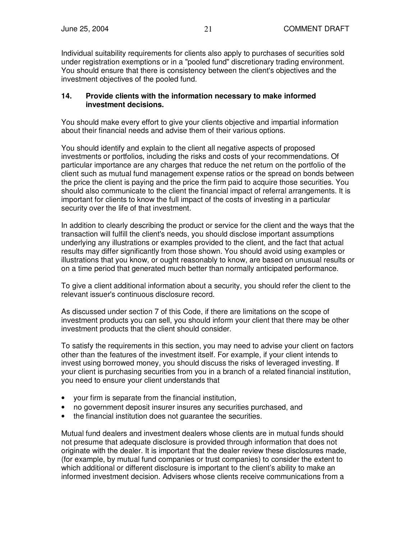Individual suitability requirements for clients also apply to purchases of securities sold under registration exemptions or in a "pooled fund" discretionary trading environment. You should ensure that there is consistency between the client's objectives and the investment objectives of the pooled fund.

#### **14. Provide clients with the information necessary to make informed investment decisions.**

You should make every effort to give your clients objective and impartial information about their financial needs and advise them of their various options.

You should identify and explain to the client all negative aspects of proposed investments or portfolios, including the risks and costs of your recommendations. Of particular importance are any charges that reduce the net return on the portfolio of the client such as mutual fund management expense ratios or the spread on bonds between the price the client is paying and the price the firm paid to acquire those securities. You should also communicate to the client the financial impact of referral arrangements. It is important for clients to know the full impact of the costs of investing in a particular security over the life of that investment.

In addition to clearly describing the product or service for the client and the ways that the transaction will fulfill the client's needs, you should disclose important assumptions underlying any illustrations or examples provided to the client, and the fact that actual results may differ significantly from those shown. You should avoid using examples or illustrations that you know, or ought reasonably to know, are based on unusual results or on a time period that generated much better than normally anticipated performance.

To give a client additional information about a security, you should refer the client to the relevant issuer's continuous disclosure record.

As discussed under section 7 of this Code, if there are limitations on the scope of investment products you can sell, you should inform your client that there may be other investment products that the client should consider.

To satisfy the requirements in this section, you may need to advise your client on factors other than the features of the investment itself. For example, if your client intends to invest using borrowed money, you should discuss the risks of leveraged investing. If your client is purchasing securities from you in a branch of a related financial institution, you need to ensure your client understands that

- your firm is separate from the financial institution,
- no government deposit insurer insures any securities purchased, and
- the financial institution does not quarantee the securities.

Mutual fund dealers and investment dealers whose clients are in mutual funds should not presume that adequate disclosure is provided through information that does not originate with the dealer. It is important that the dealer review these disclosures made, (for example, by mutual fund companies or trust companies) to consider the extent to which additional or different disclosure is important to the client's ability to make an informed investment decision. Advisers whose clients receive communications from a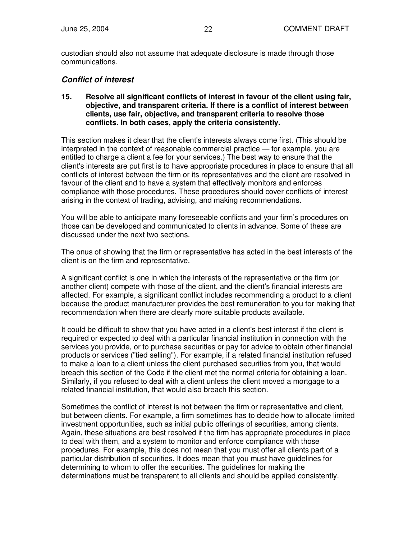custodian should also not assume that adequate disclosure is made through those communications.

## *Conflict of interest*

**15. Resolve all significant conflicts of interest in favour of the client using fair, objective, and transparent criteria. If there is a conflict of interest between clients, use fair, objective, and transparent criteria to resolve those conflicts. In both cases, apply the criteria consistently.**

This section makes it clear that the client's interests always come first. (This should be interpreted in the context of reasonable commercial practice — for example, you are entitled to charge a client a fee for your services.) The best way to ensure that the client's interests are put first is to have appropriate procedures in place to ensure that all conflicts of interest between the firm or its representatives and the client are resolved in favour of the client and to have a system that effectively monitors and enforces compliance with those procedures. These procedures should cover conflicts of interest arising in the context of trading, advising, and making recommendations.

You will be able to anticipate many foreseeable conflicts and your firm's procedures on those can be developed and communicated to clients in advance. Some of these are discussed under the next two sections.

The onus of showing that the firm or representative has acted in the best interests of the client is on the firm and representative.

A significant conflict is one in which the interests of the representative or the firm (or another client) compete with those of the client, and the client's financial interests are affected. For example, a significant conflict includes recommending a product to a client because the product manufacturer provides the best remuneration to you for making that recommendation when there are clearly more suitable products available.

It could be difficult to show that you have acted in a client's best interest if the client is required or expected to deal with a particular financial institution in connection with the services you provide, or to purchase securities or pay for advice to obtain other financial products or services ("tied selling"). For example, if a related financial institution refused to make a loan to a client unless the client purchased securities from you, that would breach this section of the Code if the client met the normal criteria for obtaining a loan. Similarly, if you refused to deal with a client unless the client moved a mortgage to a related financial institution, that would also breach this section.

Sometimes the conflict of interest is not between the firm or representative and client, but between clients. For example, a firm sometimes has to decide how to allocate limited investment opportunities, such as initial public offerings of securities, among clients. Again, these situations are best resolved if the firm has appropriate procedures in place to deal with them, and a system to monitor and enforce compliance with those procedures. For example, this does not mean that you must offer all clients part of a particular distribution of securities. It does mean that you must have guidelines for determining to whom to offer the securities. The guidelines for making the determinations must be transparent to all clients and should be applied consistently.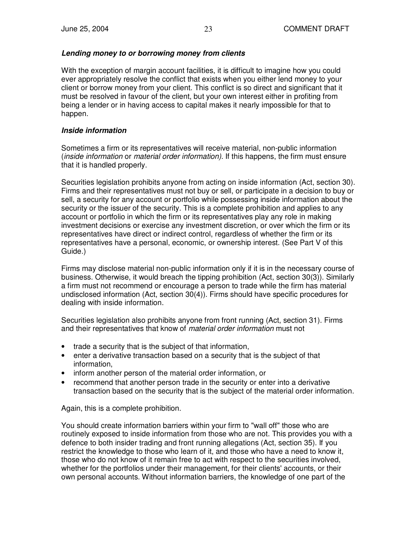## *Lending money to or borrowing money from clients*

With the exception of margin account facilities, it is difficult to imagine how you could ever appropriately resolve the conflict that exists when you either lend money to your client or borrow money from your client. This conflict is so direct and significant that it must be resolved in favour of the client, but your own interest either in profiting from being a lender or in having access to capital makes it nearly impossible for that to happen.

## *Inside information*

Sometimes a firm or its representatives will receive material, non-public information (*inside information* or *material order information).* If this happens, the firm must ensure that it is handled properly.

Securities legislation prohibits anyone from acting on inside information (Act, section 30). Firms and their representatives must not buy or sell, or participate in a decision to buy or sell, a security for any account or portfolio while possessing inside information about the security or the issuer of the security. This is a complete prohibition and applies to any account or portfolio in which the firm or its representatives play any role in making investment decisions or exercise any investment discretion, or over which the firm or its representatives have direct or indirect control, regardless of whether the firm or its representatives have a personal, economic, or ownership interest. (See Part V of this Guide.)

Firms may disclose material non-public information only if it is in the necessary course of business. Otherwise, it would breach the tipping prohibition (Act, section 30(3)). Similarly a firm must not recommend or encourage a person to trade while the firm has material undisclosed information (Act, section 30(4)). Firms should have specific procedures for dealing with inside information.

Securities legislation also prohibits anyone from front running (Act, section 31). Firms and their representatives that know of *material order information* must not

- trade a security that is the subject of that information,
- enter a derivative transaction based on a security that is the subject of that information,
- inform another person of the material order information, or
- recommend that another person trade in the security or enter into a derivative transaction based on the security that is the subject of the material order information.

Again, this is a complete prohibition.

You should create information barriers within your firm to "wall off" those who are routinely exposed to inside information from those who are not. This provides you with a defence to both insider trading and front running allegations (Act, section 35). If you restrict the knowledge to those who learn of it, and those who have a need to know it, those who do not know of it remain free to act with respect to the securities involved, whether for the portfolios under their management, for their clients'accounts, or their own personal accounts. Without information barriers, the knowledge of one part of the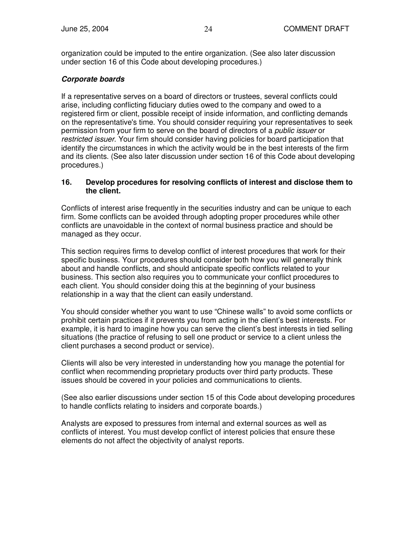organization could be imputed to the entire organization. (See also later discussion under section 16 of this Code about developing procedures.)

## *Corporate boards*

If a representative serves on a board of directors or trustees, several conflicts could arise, including conflicting fiduciary duties owed to the company and owed to a registered firm or client, possible receipt of inside information, and conflicting demands on the representative's time. You should consider requiring your representatives to seek permission from your firm to serve on the board of directors of a *public issuer* or *restricted issuer*. Your firm should consider having policies for board participation that identify the circumstances in which the activity would be in the best interests of the firm and its clients. (See also later discussion under section 16 of this Code about developing procedures.)

#### **16. Develop procedures for resolving conflicts of interest and disclose them to the client.**

Conflicts of interest arise frequently in the securities industry and can be unique to each firm. Some conflicts can be avoided through adopting proper procedures while other conflicts are unavoidable in the context of normal business practice and should be managed as they occur.

This section requires firms to develop conflict of interest procedures that work for their specific business. Your procedures should consider both how you will generally think about and handle conflicts, and should anticipate specific conflicts related to your business. This section also requires you to communicate your conflict procedures to each client. You should consider doing this at the beginning of your business relationship in a way that the client can easily understand.

You should consider whether you want to use "Chinese walls" to avoid some conflicts or prohibit certain practices if it prevents you from acting in the client's best interests. For example, it is hard to imagine how you can serve the client's best interests in tied selling situations (the practice of refusing to sell one product or service to a client unless the client purchases a second product or service).

Clients will also be very interested in understanding how you manage the potential for conflict when recommending proprietary products over third party products. These issues should be covered in your policies and communications to clients.

(See also earlier discussions under section 15 of this Code about developing procedures to handle conflicts relating to insiders and corporate boards.)

Analysts are exposed to pressures from internal and external sources as well as conflicts of interest. You must develop conflict of interest policies that ensure these elements do not affect the objectivity of analyst reports.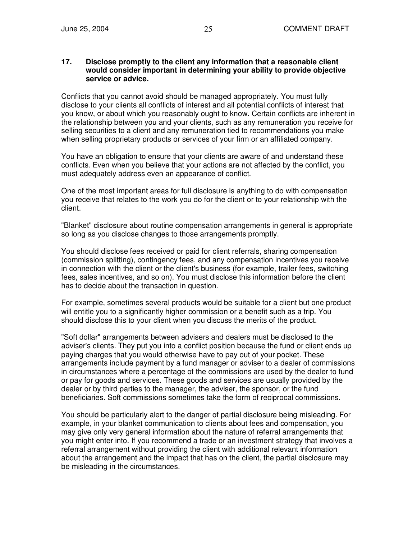#### **17. Disclose promptly to the client any information that a reasonable client would consider important in determining your ability to provide objective service or advice.**

Conflicts that you cannot avoid should be managed appropriately. You must fully disclose to your clients all conflicts of interest and all potential conflicts of interest that you know, or about which you reasonably ought to know. Certain conflicts are inherent in the relationship between you and your clients, such as any remuneration you receive for selling securities to a client and any remuneration tied to recommendations you make when selling proprietary products or services of your firm or an affiliated company.

You have an obligation to ensure that your clients are aware of and understand these conflicts. Even when you believe that your actions are not affected by the conflict, you must adequately address even an appearance of conflict.

One of the most important areas for full disclosure is anything to do with compensation you receive that relates to the work you do for the client or to your relationship with the client.

"Blanket" disclosure about routine compensation arrangements in general is appropriate so long as you disclose changes to those arrangements promptly.

You should disclose fees received or paid for client referrals, sharing compensation (commission splitting), contingency fees, and any compensation incentives you receive in connection with the client or the client's business (for example, trailer fees, switching fees, sales incentives, and so on). You must disclose this information before the client has to decide about the transaction in question.

For example, sometimes several products would be suitable for a client but one product will entitle you to a significantly higher commission or a benefit such as a trip. You should disclose this to your client when you discuss the merits of the product.

"Soft dollar" arrangements between advisers and dealers must be disclosed to the adviser's clients. They put you into a conflict position because the fund or client ends up paying charges that you would otherwise have to pay out of your pocket. These arrangements include payment by a fund manager or adviser to a dealer of commissions in circumstances where a percentage of the commissions are used by the dealer to fund or pay for goods and services. These goods and services are usually provided by the dealer or by third parties to the manager, the adviser, the sponsor, or the fund beneficiaries. Soft commissions sometimes take the form of reciprocal commissions.

You should be particularly alert to the danger of partial disclosure being misleading. For example, in your blanket communication to clients about fees and compensation, you may give only very general information about the nature of referral arrangements that you might enter into. If you recommend a trade or an investment strategy that involves a referral arrangement without providing the client with additional relevant information about the arrangement and the impact that has on the client, the partial disclosure may be misleading in the circumstances.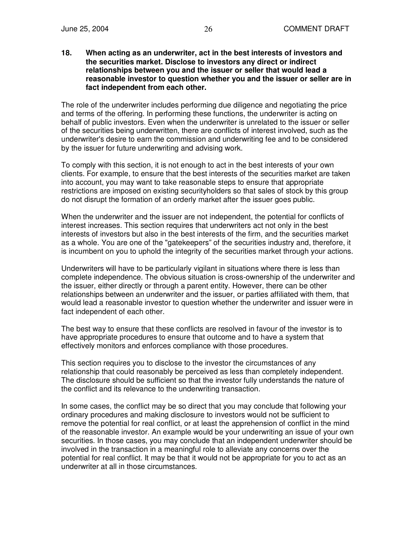**18. When acting as an underwriter, act in the best interests of investors and the securities market. Disclose to investors any direct or indirect relationships between you and the issuer or seller that would lead a reasonable investor to question whether you and the issuer or seller are in fact independent from each other.**

The role of the underwriter includes performing due diligence and negotiating the price and terms of the offering. In performing these functions, the underwriter is acting on behalf of public investors. Even when the underwriter is unrelated to the issuer or seller of the securities being underwritten, there are conflicts of interest involved, such as the underwriter's desire to earn the commission and underwriting fee and to be considered by the issuer for future underwriting and advising work.

To comply with this section, it is not enough to act in the best interests of your own clients. For example, to ensure that the best interests of the securities market are taken into account, you may want to take reasonable steps to ensure that appropriate restrictions are imposed on existing securityholders so that sales of stock by this group do not disrupt the formation of an orderly market after the issuer goes public.

When the underwriter and the issuer are not independent, the potential for conflicts of interest increases. This section requires that underwriters act not only in the best interests of investors but also in the best interests of the firm, and the securities market as a whole. You are one of the "gatekeepers" of the securities industry and, therefore, it is incumbent on you to uphold the integrity of the securities market through your actions.

Underwriters will have to be particularly vigilant in situations where there is less than complete independence. The obvious situation is cross-ownership of the underwriter and the issuer, either directly or through a parent entity. However, there can be other relationships between an underwriter and the issuer, or parties affiliated with them, that would lead a reasonable investor to question whether the underwriter and issuer were in fact independent of each other.

The best way to ensure that these conflicts are resolved in favour of the investor is to have appropriate procedures to ensure that outcome and to have a system that effectively monitors and enforces compliance with those procedures.

This section requires you to disclose to the investor the circumstances of any relationship that could reasonably be perceived as less than completely independent. The disclosure should be sufficient so that the investor fully understands the nature of the conflict and its relevance to the underwriting transaction.

In some cases, the conflict may be so direct that you may conclude that following your ordinary procedures and making disclosure to investors would not be sufficient to remove the potential for real conflict, or at least the apprehension of conflict in the mind of the reasonable investor. An example would be your underwriting an issue of your own securities. In those cases, you may conclude that an independent underwriter should be involved in the transaction in a meaningful role to alleviate any concerns over the potential for real conflict. It may be that it would not be appropriate for you to act as an underwriter at all in those circumstances.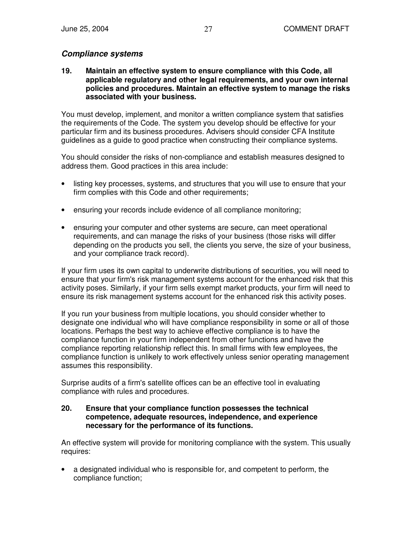## *Compliance systems*

**19. Maintain an effective system to ensure compliance with this Code, all applicable regulatory and other legal requirements, and your own internal policies and procedures. Maintain an effective system to manage the risks associated with your business.**

You must develop, implement, and monitor a written compliance system that satisfies the requirements of the Code. The system you develop should be effective for your particular firm and its business procedures. Advisers should consider CFA Institute guidelines as a guide to good practice when constructing their compliance systems.

You should consider the risks of non-compliance and establish measures designed to address them. Good practices in this area include:

- listing key processes, systems, and structures that you will use to ensure that your firm complies with this Code and other requirements:
- ensuring your records include evidence of all compliance monitoring;
- ensuring your computer and other systems are secure, can meet operational requirements, and can manage the risks of your business (those risks will differ depending on the products you sell, the clients you serve, the size of your business, and your compliance track record).

If your firm uses its own capital to underwrite distributions of securities, you will need to ensure that your firm's risk management systems account for the enhanced risk that this activity poses. Similarly, if your firm sells exempt market products, your firm will need to ensure its risk management systems account for the enhanced risk this activity poses.

If you run your business from multiple locations, you should consider whether to designate one individual who will have compliance responsibility in some or all of those locations. Perhaps the best way to achieve effective compliance is to have the compliance function in your firm independent from other functions and have the compliance reporting relationship reflect this. In small firms with few employees, the compliance function is unlikely to work effectively unless senior operating management assumes this responsibility.

Surprise audits of a firm's satellite offices can be an effective tool in evaluating compliance with rules and procedures.

#### **20. Ensure that your compliance function possesses the technical competence, adequate resources, independence, and experience necessary for the performance of its functions.**

An effective system will provide for monitoring compliance with the system. This usually requires:

• a designated individual who is responsible for, and competent to perform, the compliance function;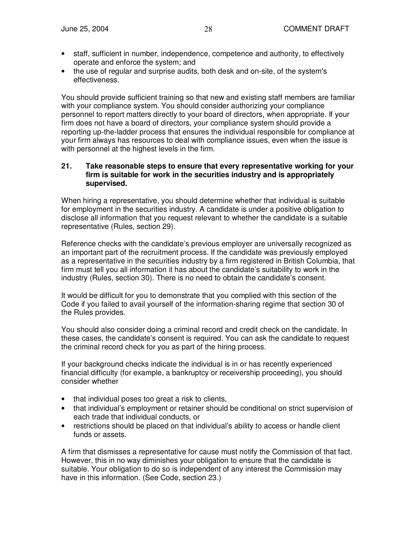- staff, sufficient in number, independence, competence and authority, to effectively operate and enforce the system; and
- the use of regular and surprise audits, both desk and on-site, of the system's effectiveness.

You should provide sufficient training so that new and existing staff members are familiar with your compliance system. You should consider authorizing your compliance personnel to report matters directly to your board of directors, when appropriate. If your firm does not have a board of directors, your compliance system should provide a reporting up-the-ladder process that ensures the individual responsible for compliance at your firm always has resources to deal with compliance issues, even when the issue is with personnel at the highest levels in the firm.

#### **21. Take reasonable steps to ensure that every representative working for your firm is suitable for work in the securities industry and is appropriately supervised.**

When hiring a representative, you should determine whether that individual is suitable for employment in the securities industry. A candidate is under a positive obligation to disclose all information that you request relevant to whether the candidate is a suitable representative (Rules, section 29).

Reference checks with the candidate's previous employer are universally recognized as an important part of the recruitment process. If the candidate was previously employed as a representative in the securities industry by a firm registered in British Columbia, that firm must tell you all information it has about the candidate's suitability to work in the industry (Rules, section 30). There is no need to obtain the candidate's consent.

It would be difficult for you to demonstrate that you complied with this section of the Code if you failed to avail yourself of the information-sharing regime that section 30 of the Rules provides.

You should also consider doing a criminal record and credit check on the candidate. In these cases, the candidate's consent is required. You can ask the candidate to request the criminal record check for you as part of the hiring process.

If your background checks indicate the individual is in or has recently experienced financial difficulty (for example, a bankruptcy or receivership proceeding), you should consider whether

- that individual poses too great a risk to clients,
- that individual's employment or retainer should be conditional on strict supervision of each trade that individual conducts, or
- restrictions should be placed on that individual's ability to access or handle client funds or assets.

A firm that dismisses a representative for cause must notify the Commission of that fact. However, this in no way diminishes your obligation to ensure that the candidate is suitable. Your obligation to do so is independent of any interest the Commission may have in this information. (See Code, section 23.)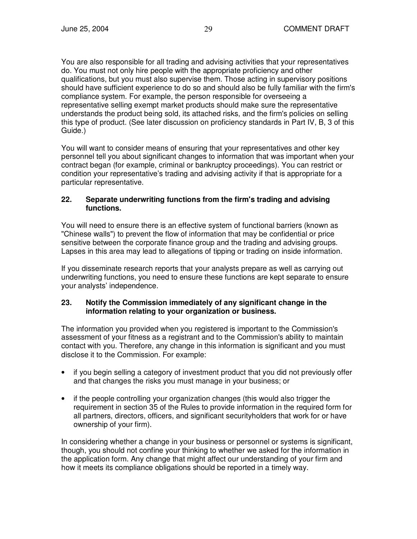You are also responsible for all trading and advising activities that your representatives do. You must not only hire people with the appropriate proficiency and other qualifications, but you must also supervise them. Those acting in supervisory positions should have sufficient experience to do so and should also be fully familiar with the firm's compliance system. For example, the person responsible for overseeing a representative selling exempt market products should make sure the representative understands the product being sold, its attached risks, and the firm's policies on selling this type of product. (See later discussion on proficiency standards in Part IV, B, 3 of this Guide.)

You will want to consider means of ensuring that your representatives and other key personnel tell you about significant changes to information that was important when your contract began (for example, criminal or bankruptcy proceedings). You can restrict or condition your representative's trading and advising activity if that is appropriate for a particular representative.

#### **22. Separate underwriting functions from the firm's trading and advising functions.**

You will need to ensure there is an effective system of functional barriers (known as "Chinese walls") to prevent the flow of information that may be confidential or price sensitive between the corporate finance group and the trading and advising groups. Lapses in this area may lead to allegations of tipping or trading on inside information.

If you disseminate research reports that your analysts prepare as well as carrying out underwriting functions, you need to ensure these functions are kept separate to ensure your analysts' independence.

#### **23. Notify the Commission immediately of any significant change in the information relating to your organization or business.**

The information you provided when you registered is important to the Commission's assessment of your fitness as a registrant and to the Commission's ability to maintain contact with you. Therefore, any change in this information is significant and you must disclose it to the Commission. For example:

- if you begin selling a category of investment product that you did not previously offer and that changes the risks you must manage in your business; or
- if the people controlling your organization changes (this would also trigger the requirement in section 35 of the Rules to provide information in the required form for all partners, directors, officers, and significant securityholders that work for or have ownership of your firm).

In considering whether a change in your business or personnel or systems is significant, though, you should not confine your thinking to whether we asked for the information in the application form. Any change that might affect our understanding of your firm and how it meets its compliance obligations should be reported in a timely way.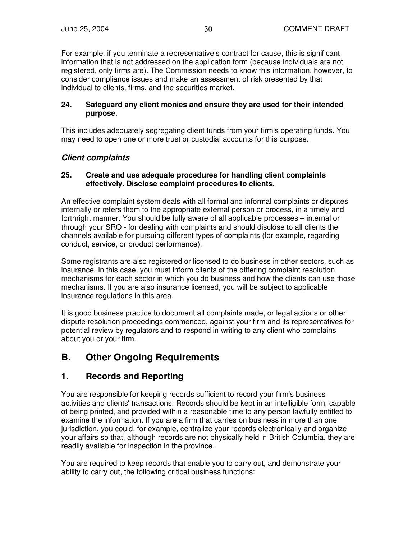For example, if you terminate a representative's contract for cause, this is significant information that is not addressed on the application form (because individuals are not registered, only firms are). The Commission needs to know this information, however, to consider compliance issues and make an assessment of risk presented by that individual to clients, firms, and the securities market.

#### **24. Safeguard any client monies and ensure they are used for their intended purpose**.

This includes adequately segregating client funds from your firm's operating funds. You may need to open one or more trust or custodial accounts for this purpose.

## *Client complaints*

#### **25. Create and use adequate procedures for handling client complaints effectively. Disclose complaint procedures to clients.**

An effective complaint system deals with all formal and informal complaints or disputes internally or refers them to the appropriate external person or process, in a timely and forthright manner. You should be fully aware of all applicable processes – internal or through your SRO - for dealing with complaints and should disclose to all clients the channels available for pursuing different types of complaints (for example, regarding conduct, service, or product performance).

Some registrants are also registered or licensed to do business in other sectors, such as insurance. In this case, you must inform clients of the differing complaint resolution mechanisms for each sector in which you do business and how the clients can use those mechanisms. If you are also insurance licensed, you will be subject to applicable insurance regulations in this area.

It is good business practice to document all complaints made, or legal actions or other dispute resolution proceedings commenced, against your firm and its representatives for potential review by regulators and to respond in writing to any client who complains about you or your firm.

## **B. Other Ongoing Requirements**

## **1. Records and Reporting**

You are responsible for keeping records sufficient to record your firm's business activities and clients' transactions. Records should be kept in an intelligible form, capable of being printed, and provided within a reasonable time to any person lawfully entitled to examine the information. If you are a firm that carries on business in more than one jurisdiction, you could, for example, centralize your records electronically and organize your affairs so that, although records are not physically held in British Columbia, they are readily available for inspection in the province.

You are required to keep records that enable you to carry out, and demonstrate your ability to carry out, the following critical business functions: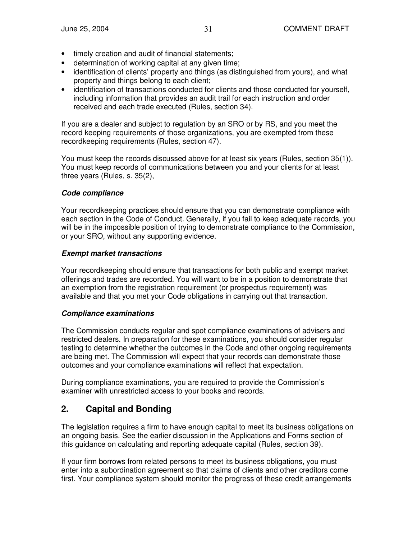- timely creation and audit of financial statements;
- determination of working capital at any given time;
- identification of clients' property and things (as distinguished from yours), and what property and things belong to each client;
- identification of transactions conducted for clients and those conducted for yourself, including information that provides an audit trail for each instruction and order received and each trade executed (Rules, section 34).

If you are a dealer and subject to regulation by an SRO or by RS, and you meet the record keeping requirements of those organizations, you are exempted from these recordkeeping requirements (Rules, section 47).

You must keep the records discussed above for at least six years (Rules, section 35(1)). You must keep records of communications between you and your clients for at least three years (Rules, s. 35(2),

## *Code compliance*

Your recordkeeping practices should ensure that you can demonstrate compliance with each section in the Code of Conduct. Generally, if you fail to keep adequate records, you will be in the impossible position of trying to demonstrate compliance to the Commission, or your SRO, without any supporting evidence.

### *Exempt market transactions*

Your recordkeeping should ensure that transactions for both public and exempt market offerings and trades are recorded. You will want to be in a position to demonstrate that an exemption from the registration requirement (or prospectus requirement) was available and that you met your Code obligations in carrying out that transaction.

#### *Compliance examinations*

The Commission conducts regular and spot compliance examinations of advisers and restricted dealers. In preparation for these examinations, you should consider regular testing to determine whether the outcomes in the Code and other ongoing requirements are being met. The Commission will expect that your records can demonstrate those outcomes and your compliance examinations will reflect that expectation.

During compliance examinations, you are required to provide the Commission's examiner with unrestricted access to your books and records.

## **2. Capital and Bonding**

The legislation requires a firm to have enough capital to meet its business obligations on an ongoing basis. See the earlier discussion in the Applications and Forms section of this guidance on calculating and reporting adequate capital (Rules, section 39).

If your firm borrows from related persons to meet its business obligations, you must enter into a subordination agreement so that claims of clients and other creditors come first. Your compliance system should monitor the progress of these credit arrangements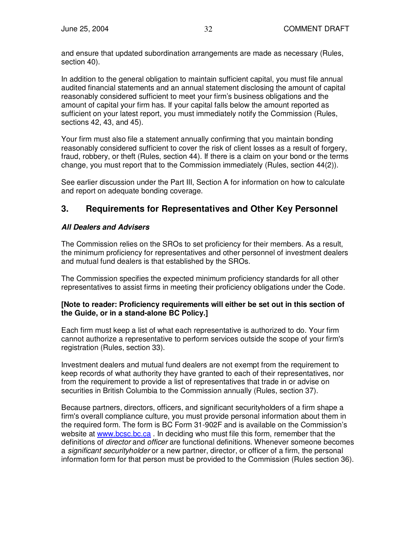and ensure that updated subordination arrangements are made as necessary (Rules, section 40).

In addition to the general obligation to maintain sufficient capital, you must file annual audited financial statements and an annual statement disclosing the amount of capital reasonably considered sufficient to meet your firm's business obligations and the amount of capital your firm has. If your capital falls below the amount reported as sufficient on your latest report, you must immediately notify the Commission (Rules, sections 42, 43, and 45).

Your firm must also file a statement annually confirming that you maintain bonding reasonably considered sufficient to cover the risk of client losses as a result of forgery, fraud, robbery, or theft (Rules, section 44). If there is a claim on your bond or the terms change, you must report that to the Commission immediately (Rules, section 44(2)).

See earlier discussion under the Part III, Section A for information on how to calculate and report on adequate bonding coverage.

## **3. Requirements for Representatives and Other Key Personnel**

## *All Dealers and Advisers*

The Commission relies on the SROs to set proficiency for their members. As a result, the minimum proficiency for representatives and other personnel of investment dealers and mutual fund dealers is that established by the SROs.

The Commission specifies the expected minimum proficiency standards for all other representatives to assist firms in meeting their proficiency obligations under the Code.

#### **[Note to reader: Proficiency requirements will either be set out in this section of the Guide, or in a stand-alone BC Policy.]**

Each firm must keep a list of what each representative is authorized to do. Your firm cannot authorize a representative to perform services outside the scope of your firm's registration (Rules, section 33).

Investment dealers and mutual fund dealers are not exempt from the requirement to keep records of what authority they have granted to each of their representatives, nor from the requirement to provide a list of representatives that trade in or advise on securities in British Columbia to the Commission annually (Rules, section 37).

Because partners, directors, officers, and significant securityholders of a firm shape a firm's overall compliance culture, you must provide personal information about them in the required form. The form is BC Form 31-902F and is available on the Commission's website at www.bcsc.bc.ca. In deciding who must file this form, remember that the definitions of *director* and *officer* are functional definitions. Whenever someone becomes a *significant securityholder* or a new partner, director, or officer of a firm, the personal information form for that person must be provided to the Commission (Rules section 36).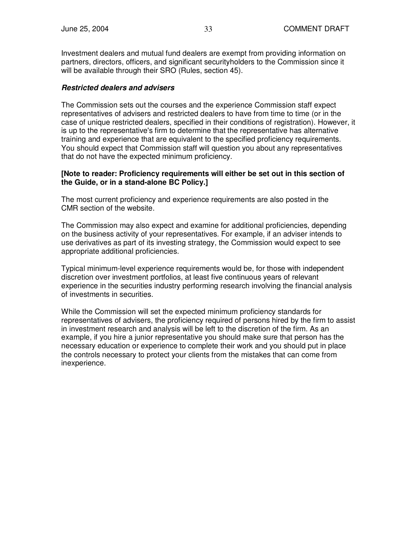Investment dealers and mutual fund dealers are exempt from providing information on partners, directors, officers, and significant securityholders to the Commission since it will be available through their SRO (Rules, section 45).

#### *Restricted dealers and advisers*

The Commission sets out the courses and the experience Commission staff expect representatives of advisers and restricted dealers to have from time to time (or in the case of unique restricted dealers, specified in their conditions of registration). However, it is up to the representative's firm to determine that the representative has alternative training and experience that are equivalent to the specified proficiency requirements. You should expect that Commission staff will question you about any representatives that do not have the expected minimum proficiency.

#### **[Note to reader: Proficiency requirements will either be set out in this section of the Guide, or in a stand-alone BC Policy.]**

The most current proficiency and experience requirements are also posted in the CMR section of the website.

The Commission may also expect and examine for additional proficiencies, depending on the business activity of your representatives. For example, if an adviser intends to use derivatives as part of its investing strategy, the Commission would expect to see appropriate additional proficiencies.

Typical minimum-level experience requirements would be, for those with independent discretion over investment portfolios, at least five continuous years of relevant experience in the securities industry performing research involving the financial analysis of investments in securities.

While the Commission will set the expected minimum proficiency standards for representatives of advisers, the proficiency required of persons hired by the firm to assist in investment research and analysis will be left to the discretion of the firm. As an example, if you hire a junior representative you should make sure that person has the necessary education or experience to complete their work and you should put in place the controls necessary to protect your clients from the mistakes that can come from inexperience.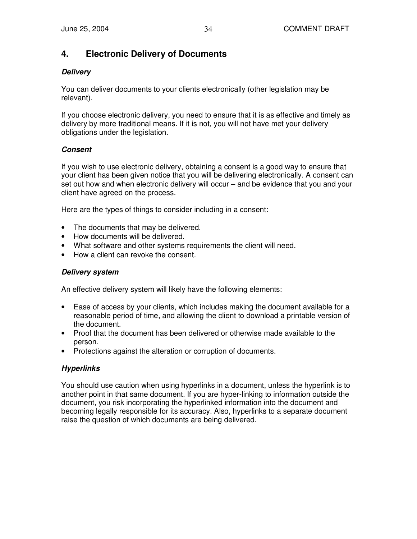## **4. Electronic Delivery of Documents**

## *Delivery*

You can deliver documents to your clients electronically (other legislation may be relevant).

If you choose electronic delivery, you need to ensure that it is as effective and timely as delivery by more traditional means. If it is not, you will not have met your delivery obligations under the legislation.

## *Consent*

If you wish to use electronic delivery, obtaining a consent is a good way to ensure that your client has been given notice that you will be delivering electronically. A consent can set out how and when electronic delivery will occur – and be evidence that you and your client have agreed on the process.

Here are the types of things to consider including in a consent:

- The documents that may be delivered.
- How documents will be delivered.
- What software and other systems requirements the client will need.
- How a client can revoke the consent.

## *Delivery system*

An effective delivery system will likely have the following elements:

- Ease of access by your clients, which includes making the document available for a reasonable period of time, and allowing the client to download a printable version of the document.
- Proof that the document has been delivered or otherwise made available to the person.
- Protections against the alteration or corruption of documents.

## *Hyperlinks*

You should use caution when using hyperlinks in a document, unless the hyperlink is to another point in that same document. If you are hyper-linking to information outside the document, you risk incorporating the hyperlinked information into the document and becoming legally responsible for its accuracy. Also, hyperlinks to a separate document raise the question of which documents are being delivered.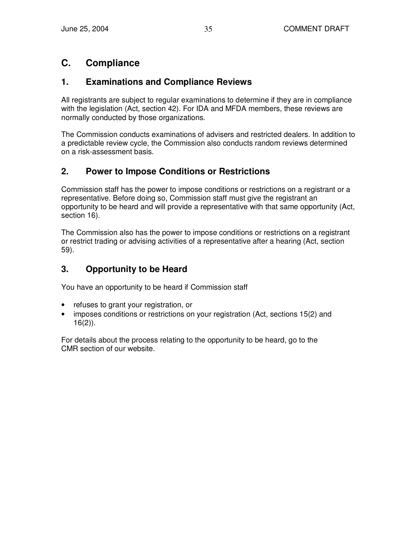## **C. Compliance**

## **1. Examinations and Compliance Reviews**

All registrants are subject to regular examinations to determine if they are in compliance with the legislation (Act, section 42). For IDA and MFDA members, these reviews are normally conducted by those organizations.

The Commission conducts examinations of advisers and restricted dealers. In addition to a predictable review cycle, the Commission also conducts random reviews determined on a risk-assessment basis.

## **2. Power to Impose Conditions or Restrictions**

Commission staff has the power to impose conditions or restrictions on a registrant or a representative. Before doing so, Commission staff must give the registrant an opportunity to be heard and will provide a representative with that same opportunity (Act, section 16).

The Commission also has the power to impose conditions or restrictions on a registrant or restrict trading or advising activities of a representative after a hearing (Act, section 59).

## **3. Opportunity to be Heard**

You have an opportunity to be heard if Commission staff

- refuses to grant your registration, or
- imposes conditions or restrictions on your registration (Act, sections 15(2) and  $16(2)$ ).

For details about the process relating to the opportunity to be heard, go to the CMR section of our website.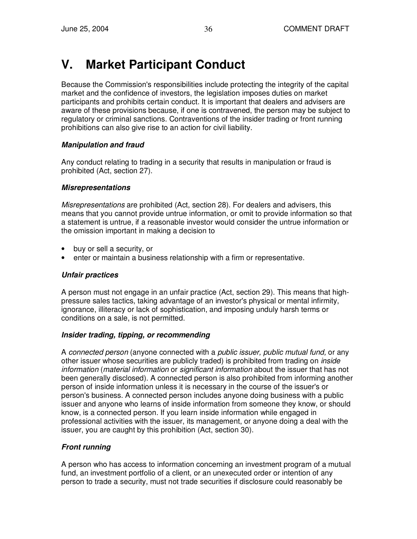# **V. Market Participant Conduct**

Because the Commission's responsibilities include protecting the integrity of the capital market and the confidence of investors, the legislation imposes duties on market participants and prohibits certain conduct. It is important that dealers and advisers are aware of these provisions because, if one is contravened, the person may be subject to regulatory or criminal sanctions. Contraventions of the insider trading or front running prohibitions can also give rise to an action for civil liability.

## *Manipulation and fraud*

Any conduct relating to trading in a security that results in manipulation or fraud is prohibited (Act, section 27).

## *Misrepresentations*

*Misrepresentations* are prohibited (Act, section 28). For dealers and advisers, this means that you cannot provide untrue information, or omit to provide information so that a statement is untrue, if a reasonable investor would consider the untrue information or the omission important in making a decision to

- buy or sell a security, or
- enter or maintain a business relationship with a firm or representative.

## *Unfair practices*

A person must not engage in an unfair practice (Act, section 29). This means that highpressure sales tactics, taking advantage of an investor's physical or mental infirmity, ignorance, illiteracy or lack of sophistication, and imposing unduly harsh terms or conditions on a sale, is not permitted.

## *Insider trading, tipping, or recommending*

A *connected person* (anyone connected with a *public issuer, public mutual fund,* or any other issuer whose securities are publicly traded) is prohibited from trading on *inside information* (*material information* or *significant information* about the issuer that has not been generally disclosed). A connected person is also prohibited from informing another person of inside information unless it is necessary in the course of the issuer's or person's business. A connected person includes anyone doing business with a public issuer and anyone who learns of inside information from someone they know, or should know, is a connected person. If you learn inside information while engaged in professional activities with the issuer, its management, or anyone doing a deal with the issuer, you are caught by this prohibition (Act, section 30).

## *Front running*

A person who has access to information concerning an investment program of a mutual fund, an investment portfolio of a client, or an unexecuted order or intention of any person to trade a security, must not trade securities if disclosure could reasonably be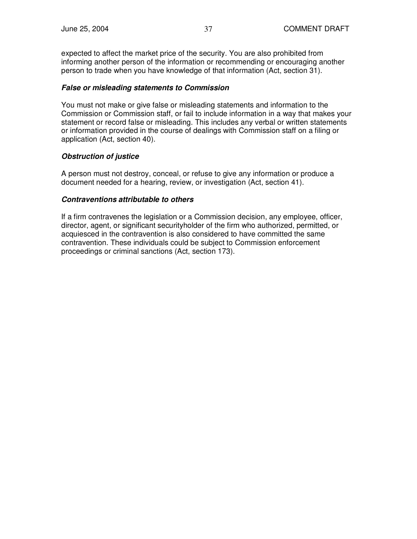expected to affect the market price of the security. You are also prohibited from informing another person of the information or recommending or encouraging another person to trade when you have knowledge of that information (Act, section 31).

#### *False or misleading statements to Commission*

You must not make or give false or misleading statements and information to the Commission or Commission staff, or fail to include information in a way that makes your statement or record false or misleading. This includes any verbal or written statements or information provided in the course of dealings with Commission staff on a filing or application (Act, section 40).

## *Obstruction of justice*

A person must not destroy, conceal, or refuse to give any information or produce a document needed for a hearing, review, or investigation (Act, section 41).

### *Contraventions attributable to others*

If a firm contravenes the legislation or a Commission decision, any employee, officer, director, agent, or significant securityholder of the firm who authorized, permitted, or acquiesced in the contravention is also considered to have committed the same contravention. These individuals could be subject to Commission enforcement proceedings or criminal sanctions (Act, section 173).